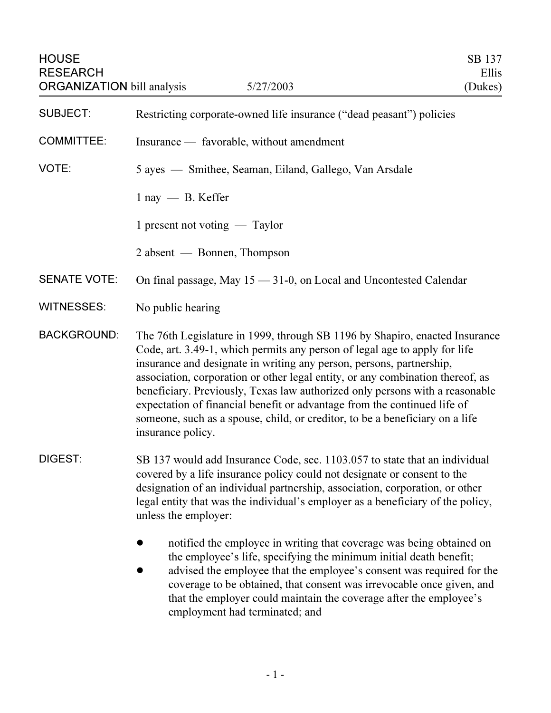| <b>HOUSE</b><br>SB 137<br><b>RESEARCH</b><br>Ellis<br><b>ORGANIZATION</b> bill analysis<br>5/27/2003<br>(Dukes) |                                                                                                                                                                                                                                                                                                                                                                                                                                                                                                                                                                                      |
|-----------------------------------------------------------------------------------------------------------------|--------------------------------------------------------------------------------------------------------------------------------------------------------------------------------------------------------------------------------------------------------------------------------------------------------------------------------------------------------------------------------------------------------------------------------------------------------------------------------------------------------------------------------------------------------------------------------------|
| <b>SUBJECT:</b>                                                                                                 | Restricting corporate-owned life insurance ("dead peasant") policies                                                                                                                                                                                                                                                                                                                                                                                                                                                                                                                 |
| <b>COMMITTEE:</b>                                                                                               | Insurance — favorable, without amendment                                                                                                                                                                                                                                                                                                                                                                                                                                                                                                                                             |
| VOTE:                                                                                                           | 5 ayes — Smithee, Seaman, Eiland, Gallego, Van Arsdale                                                                                                                                                                                                                                                                                                                                                                                                                                                                                                                               |
|                                                                                                                 | $1 \text{ nay } - \text{B}$ . Keffer                                                                                                                                                                                                                                                                                                                                                                                                                                                                                                                                                 |
|                                                                                                                 | 1 present not voting $-$ Taylor                                                                                                                                                                                                                                                                                                                                                                                                                                                                                                                                                      |
|                                                                                                                 | 2 absent — Bonnen, Thompson                                                                                                                                                                                                                                                                                                                                                                                                                                                                                                                                                          |
| <b>SENATE VOTE:</b>                                                                                             | On final passage, May $15 - 31$ -0, on Local and Uncontested Calendar                                                                                                                                                                                                                                                                                                                                                                                                                                                                                                                |
| <b>WITNESSES:</b>                                                                                               | No public hearing                                                                                                                                                                                                                                                                                                                                                                                                                                                                                                                                                                    |
| <b>BACKGROUND:</b>                                                                                              | The 76th Legislature in 1999, through SB 1196 by Shapiro, enacted Insurance<br>Code, art. 3.49-1, which permits any person of legal age to apply for life<br>insurance and designate in writing any person, persons, partnership,<br>association, corporation or other legal entity, or any combination thereof, as<br>beneficiary. Previously, Texas law authorized only persons with a reasonable<br>expectation of financial benefit or advantage from the continued life of<br>someone, such as a spouse, child, or creditor, to be a beneficiary on a life<br>insurance policy. |
| DIGEST:                                                                                                         | SB 137 would add Insurance Code, sec. 1103.057 to state that an individual<br>covered by a life insurance policy could not designate or consent to the<br>designation of an individual partnership, association, corporation, or other<br>legal entity that was the individual's employer as a beneficiary of the policy,<br>unless the employer:                                                                                                                                                                                                                                    |
|                                                                                                                 | notified the employee in writing that coverage was being obtained on<br>the employee's life, specifying the minimum initial death benefit;<br>advised the employee that the employee's consent was required for the<br>coverage to be obtained, that consent was irrevocable once given, and<br>that the employer could maintain the coverage after the employee's                                                                                                                                                                                                                   |

that the employer could maintain the coverage after the employee's employment had terminated; and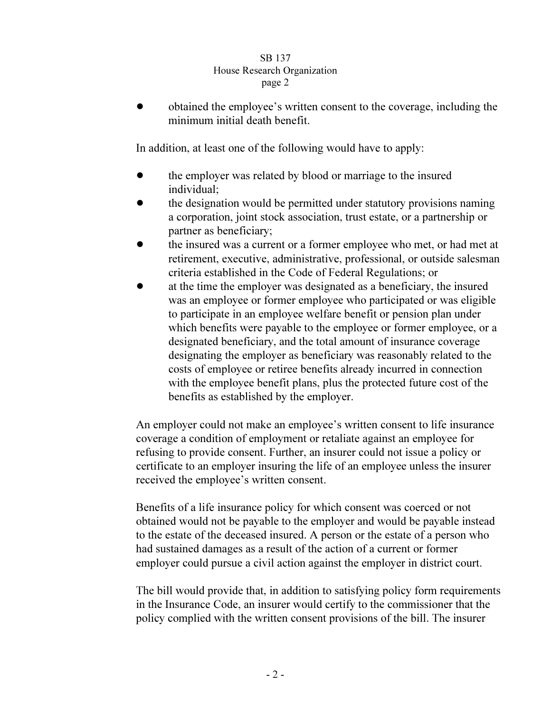## **SB 137** House Research Organization page 2  $r^{2}$

! obtained the employee's written consent to the coverage, including the minimum initial death benefit.

In addition, at least one of the following would have to apply:

- the employer was related by blood or marriage to the insured individual;
- ! the designation would be permitted under statutory provisions naming a corporation, joint stock association, trust estate, or a partnership or partner as beneficiary;
- the insured was a current or a former employee who met, or had met at retirement, executive, administrative, professional, or outside salesman criteria established in the Code of Federal Regulations; or
- at the time the employer was designated as a beneficiary, the insured was an employee or former employee who participated or was eligible to participate in an employee welfare benefit or pension plan under which benefits were payable to the employee or former employee, or a designated beneficiary, and the total amount of insurance coverage designating the employer as beneficiary was reasonably related to the costs of employee or retiree benefits already incurred in connection with the employee benefit plans, plus the protected future cost of the benefits as established by the employer.

An employer could not make an employee's written consent to life insurance coverage a condition of employment or retaliate against an employee for refusing to provide consent. Further, an insurer could not issue a policy or certificate to an employer insuring the life of an employee unless the insurer received the employee's written consent.

Benefits of a life insurance policy for which consent was coerced or not obtained would not be payable to the employer and would be payable instead to the estate of the deceased insured. A person or the estate of a person who had sustained damages as a result of the action of a current or former employer could pursue a civil action against the employer in district court.

The bill would provide that, in addition to satisfying policy form requirements in the Insurance Code, an insurer would certify to the commissioner that the policy complied with the written consent provisions of the bill. The insurer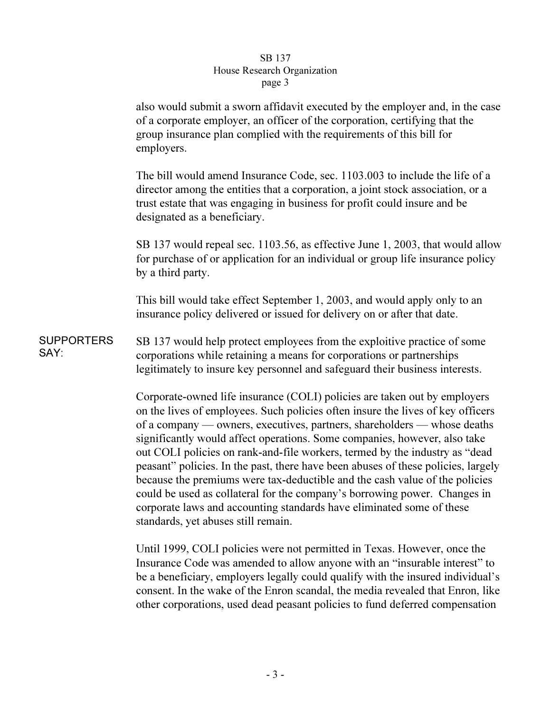## **SB 137** House Research Organization page 3  $\mathbf{r}$   $\mathbf{r}$   $\mathbf{s}$   $\mathbf{r}$   $\mathbf{s}$

also would submit a sworn affidavit executed by the employer and, in the case of a corporate employer, an officer of the corporation, certifying that the group insurance plan complied with the requirements of this bill for employers.

The bill would amend Insurance Code, sec. 1103.003 to include the life of a director among the entities that a corporation, a joint stock association, or a trust estate that was engaging in business for profit could insure and be designated as a beneficiary.

SB 137 would repeal sec. 1103.56, as effective June 1, 2003, that would allow for purchase of or application for an individual or group life insurance policy by a third party.

This bill would take effect September 1, 2003, and would apply only to an insurance policy delivered or issued for delivery on or after that date.

**SUPPORTERS** SAY: SB 137 would help protect employees from the exploitive practice of some corporations while retaining a means for corporations or partnerships legitimately to insure key personnel and safeguard their business interests.

> Corporate-owned life insurance (COLI) policies are taken out by employers on the lives of employees. Such policies often insure the lives of key officers of a company — owners, executives, partners, shareholders — whose deaths significantly would affect operations. Some companies, however, also take out COLI policies on rank-and-file workers, termed by the industry as "dead peasant" policies. In the past, there have been abuses of these policies, largely because the premiums were tax-deductible and the cash value of the policies could be used as collateral for the company's borrowing power. Changes in corporate laws and accounting standards have eliminated some of these standards, yet abuses still remain.

> Until 1999, COLI policies were not permitted in Texas. However, once the Insurance Code was amended to allow anyone with an "insurable interest" to be a beneficiary, employers legally could qualify with the insured individual's consent. In the wake of the Enron scandal, the media revealed that Enron, like other corporations, used dead peasant policies to fund deferred compensation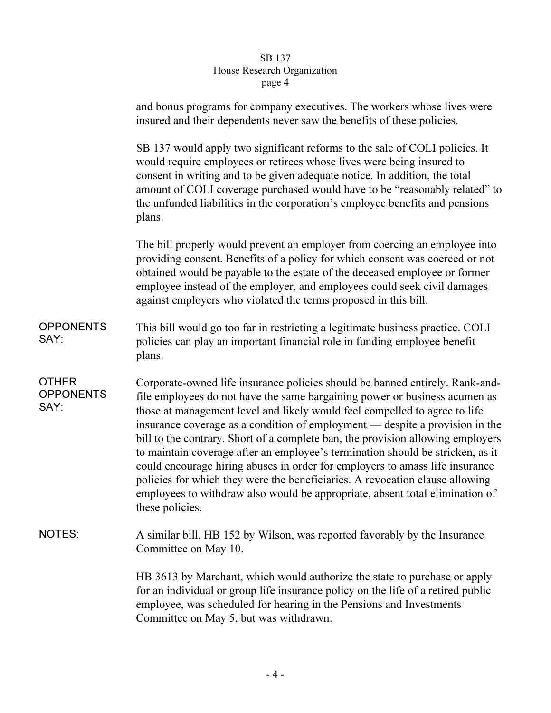## $\overline{\phantom{a}}$  arch  $\overline{\phantom{a}}$  $\frac{1}{\sqrt{1-\frac{1}{n}}\log n}$  $\mathbf{r}^{\mu}$ ge  $\mathbf{r}$

|                                          | and bonus programs for company executives. The workers whose lives were<br>insured and their dependents never saw the benefits of these policies.                                                                                                                                                                                                                                                                                                                                                                                                                                                                                                                                                                                                                |
|------------------------------------------|------------------------------------------------------------------------------------------------------------------------------------------------------------------------------------------------------------------------------------------------------------------------------------------------------------------------------------------------------------------------------------------------------------------------------------------------------------------------------------------------------------------------------------------------------------------------------------------------------------------------------------------------------------------------------------------------------------------------------------------------------------------|
|                                          | SB 137 would apply two significant reforms to the sale of COLI policies. It<br>would require employees or retirees whose lives were being insured to<br>consent in writing and to be given adequate notice. In addition, the total<br>amount of COLI coverage purchased would have to be "reasonably related" to<br>the unfunded liabilities in the corporation's employee benefits and pensions<br>plans.                                                                                                                                                                                                                                                                                                                                                       |
|                                          | The bill properly would prevent an employer from coercing an employee into<br>providing consent. Benefits of a policy for which consent was coerced or not<br>obtained would be payable to the estate of the deceased employee or former<br>employee instead of the employer, and employees could seek civil damages<br>against employers who violated the terms proposed in this bill.                                                                                                                                                                                                                                                                                                                                                                          |
| <b>OPPONENTS</b><br>SAY:                 | This bill would go too far in restricting a legitimate business practice. COLI<br>policies can play an important financial role in funding employee benefit<br>plans.                                                                                                                                                                                                                                                                                                                                                                                                                                                                                                                                                                                            |
| <b>OTHER</b><br><b>OPPONENTS</b><br>SAY: | Corporate-owned life insurance policies should be banned entirely. Rank-and-<br>file employees do not have the same bargaining power or business acumen as<br>those at management level and likely would feel compelled to agree to life<br>insurance coverage as a condition of employment — despite a provision in the<br>bill to the contrary. Short of a complete ban, the provision allowing employers<br>to maintain coverage after an employee's termination should be stricken, as it<br>could encourage hiring abuses in order for employers to amass life insurance<br>policies for which they were the beneficiaries. A revocation clause allowing<br>employees to withdraw also would be appropriate, absent total elimination of<br>these policies. |
| <b>NOTES:</b>                            | A similar bill, HB 152 by Wilson, was reported favorably by the Insurance<br>Committee on May 10.                                                                                                                                                                                                                                                                                                                                                                                                                                                                                                                                                                                                                                                                |
|                                          | HB 3613 by Marchant, which would authorize the state to purchase or apply<br>for an individual or group life insurance policy on the life of a retired public<br>employee, was scheduled for hearing in the Pensions and Investments<br>Committee on May 5, but was withdrawn.                                                                                                                                                                                                                                                                                                                                                                                                                                                                                   |